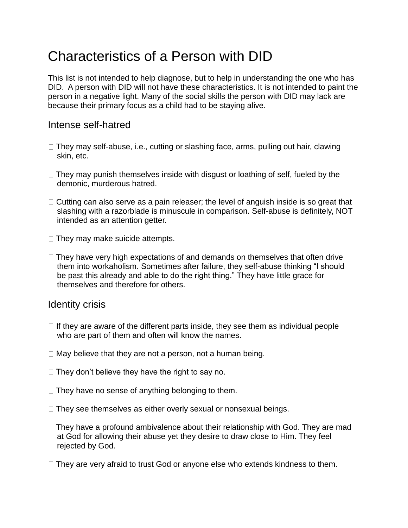# Characteristics of a Person with DID

This list is not intended to help diagnose, but to help in understanding the one who has DID. A person with DID will not have these characteristics. It is not intended to paint the person in a negative light. Many of the social skills the person with DID may lack are because their primary focus as a child had to be staying alive.

#### Intense self-hatred

- $\Box$  They may self-abuse, i.e., cutting or slashing face, arms, pulling out hair, clawing skin, etc.
- $\Box$  They may punish themselves inside with disgust or loathing of self, fueled by the demonic, murderous hatred.
- $\Box$  Cutting can also serve as a pain releaser; the level of anguish inside is so great that slashing with a razorblade is minuscule in comparison. Self-abuse is definitely, NOT intended as an attention getter.
- $\Box$  They may make suicide attempts.
- $\Box$  They have very high expectations of and demands on themselves that often drive them into workaholism. Sometimes after failure, they self-abuse thinking "I should be past this already and able to do the right thing." They have little grace for themselves and therefore for others.

#### Identity crisis

- $\Box$  If they are aware of the different parts inside, they see them as individual people who are part of them and often will know the names.
- $\Box$  May believe that they are not a person, not a human being.
- $\Box$  They don't believe they have the right to say no.
- $\Box$  They have no sense of anything belonging to them.
- $\Box$  They see themselves as either overly sexual or nonsexual beings.
- $\Box$  They have a profound ambivalence about their relationship with God. They are mad at God for allowing their abuse yet they desire to draw close to Him. They feel rejected by God.
- $\Box$  They are very afraid to trust God or anyone else who extends kindness to them.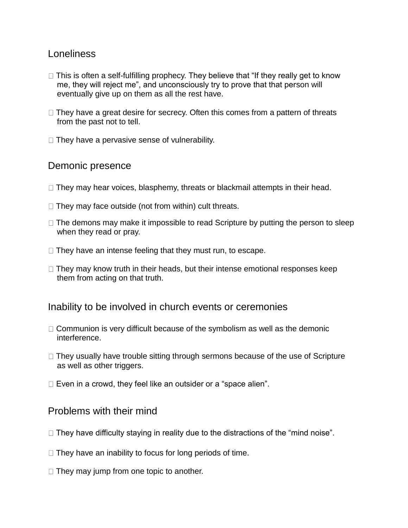# Loneliness

- $\Box$  This is often a self-fulfilling prophecy. They believe that "If they really get to know me, they will reject me", and unconsciously try to prove that that person will eventually give up on them as all the rest have.
- $\Box$  They have a great desire for secrecy. Often this comes from a pattern of threats from the past not to tell.
- $\Box$  They have a pervasive sense of vulnerability.

## Demonic presence

- $\Box$  They may hear voices, blasphemy, threats or blackmail attempts in their head.
- $\Box$  They may face outside (not from within) cult threats.
- $\Box$  The demons may make it impossible to read Scripture by putting the person to sleep when they read or pray.
- $\Box$  They have an intense feeling that they must run, to escape.
- $\Box$  They may know truth in their heads, but their intense emotional responses keep them from acting on that truth.

#### Inability to be involved in church events or ceremonies

- $\Box$  Communion is very difficult because of the symbolism as well as the demonic interference.
- $\Box$  They usually have trouble sitting through sermons because of the use of Scripture as well as other triggers.
- $\Box$  Even in a crowd, they feel like an outsider or a "space alien".

## Problems with their mind

- $\Box$  They have difficulty staying in reality due to the distractions of the "mind noise".
- $\Box$  They have an inability to focus for long periods of time.
- $\Box$  They may jump from one topic to another.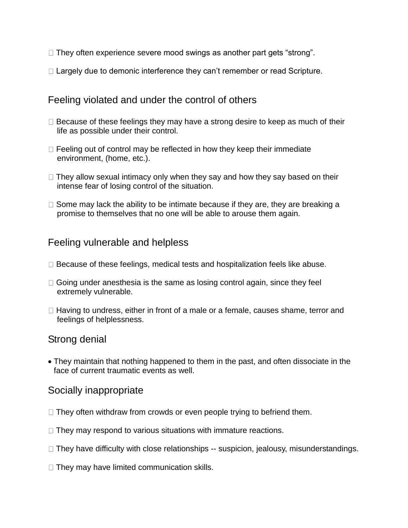- $\Box$  They often experience severe mood swings as another part gets "strong".
- $\Box$  Largely due to demonic interference they can't remember or read Scripture.

# Feeling violated and under the control of others

- $\Box$  Because of these feelings they may have a strong desire to keep as much of their life as possible under their control.
- $\Box$  Feeling out of control may be reflected in how they keep their immediate environment, (home, etc.).
- $\Box$  They allow sexual intimacy only when they say and how they say based on their intense fear of losing control of the situation.
- $\Box$  Some may lack the ability to be intimate because if they are, they are breaking a promise to themselves that no one will be able to arouse them again.

# Feeling vulnerable and helpless

- $\Box$  Because of these feelings, medical tests and hospitalization feels like abuse.
- $\Box$  Going under anesthesia is the same as losing control again, since they feel extremely vulnerable.
- $\Box$  Having to undress, either in front of a male or a female, causes shame, terror and feelings of helplessness.

## Strong denial

• They maintain that nothing happened to them in the past, and often dissociate in the face of current traumatic events as well.

## Socially inappropriate

- $\Box$  They often withdraw from crowds or even people trying to befriend them.
- $\Box$  They may respond to various situations with immature reactions.
- $\Box$  They have difficulty with close relationships -- suspicion, jealousy, misunderstandings.
- $\Box$  They may have limited communication skills.